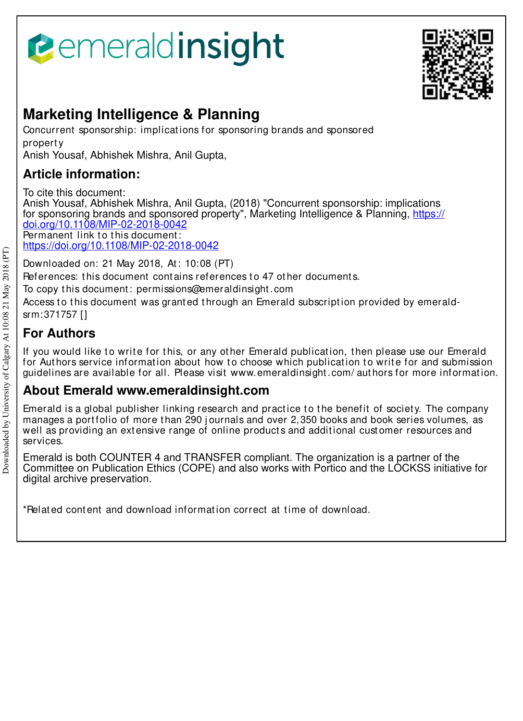# emeraldinsight



## **Marketing Intelligence & Planning**

Concurrent sponsorship: implicat ions for sponsoring brands and sponsored propert y Anish Yousaf, Abhishek Mishra, Anil Gupta,

**Article information:**

To cite this document: Anish Yousaf, Abhishek Mishra, Anil Gupta, (2018) "Concurrent sponsorship: implications for sponsoring brands and sponsored property", Marketing Intelligence & Planning, https:// doi.org/10.1108/MIP-02-2018-0042 Permanent link to this document: https://doi.org/10.1108/MIP-02-2018-0042

Downloaded on: 21 May 2018, At : 10:08 (PT)

References: this document contains references to 47 other documents.

To copy t his document : permissions@emeraldinsight .com

Access to this document was granted through an Emerald subscription provided by emeraldsrm:371757 []

## **For Authors**

If you would like to write for this, or any other Emerald publication, then please use our Emerald for Authors service information about how to choose which publication to write for and submission guidelines are available for all. Please visit www.emeraldinsight .com/ aut hors for more informat ion.

### **About Emerald www.emeraldinsight.com**

Emerald is a global publisher linking research and practice to the benefit of society. The company manages a portfolio of more than 290 journals and over 2,350 books and book series volumes, as well as providing an extensive range of online products and additional customer resources and services.

Emerald is both COUNTER 4 and TRANSFER compliant. The organization is a partner of the Committee on Publication Ethics (COPE) and also works with Portico and the LOCKSS initiative for digital archive preservation.

\*Relat ed cont ent and download informat ion correct at t ime of download.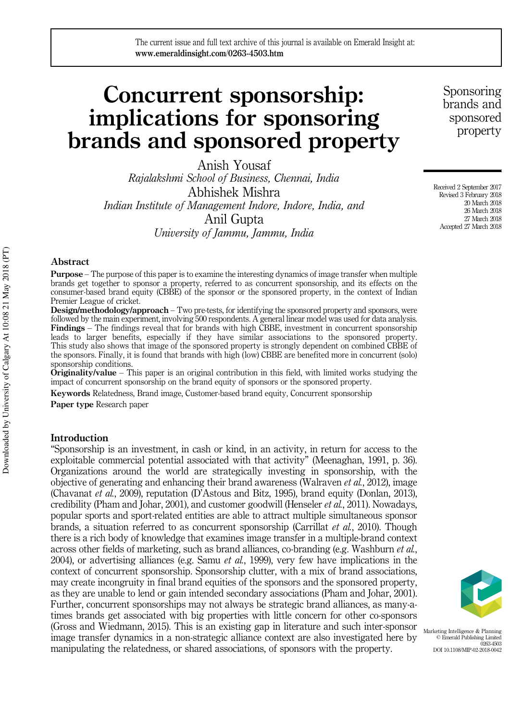The current issue and full text archive of this journal is available on Emerald Insight at: www.emeraldinsight.com/0263-4503.htm

## Concurrent sponsorship: implications for sponsoring brands and sponsored property

Anish Yousaf *Rajalakshmi School of Business, Chennai, India* Abhishek Mishra *Indian Institute of Management Indore, Indore, India, and* Anil Gupta

*University of Jammu, Jammu, India*

#### Abstract

Purpose – The purpose of this paper is to examine the interesting dynamics of image transfer when multiple brands get together to sponsor a property, referred to as concurrent sponsorship, and its effects on the consumer-based brand equity (CBBE) of the sponsor or the sponsored property, in the context of Indian Premier League of cricket.

Design/methodology/approach – Two pre-tests, for identifying the sponsored property and sponsors, were followed by the main experiment, involving 500 respondents. A general linear model was used for data analysis. Findings – The findings reveal that for brands with high CBBE, investment in concurrent sponsorship leads to larger benefits, especially if they have similar associations to the sponsored property. This study also shows that image of the sponsored property is strongly dependent on combined CBBE of the sponsors. Finally, it is found that brands with high (low) CBBE are benefited more in concurrent (solo) sponsorship conditions.

Originality/value – This paper is an original contribution in this field, with limited works studying the impact of concurrent sponsorship on the brand equity of sponsors or the sponsored property.

Keywords Relatedness, Brand image, Customer-based brand equity, Concurrent sponsorship Paper type Research paper

#### Introduction

"Sponsorship is an investment, in cash or kind, in an activity, in return for access to the exploitable commercial potential associated with that activity" (Meenaghan, 1991, p. 36). Organizations around the world are strategically investing in sponsorship, with the objective of generating and enhancing their brand awareness (Walraven *et al.*, 2012), image (Chavanat *et al.*, 2009), reputation (D'Astous and Bitz, 1995), brand equity (Donlan, 2013), credibility (Pham and Johar, 2001), and customer goodwill (Henseler *et al.*, 2011). Nowadays, popular sports and sport-related entities are able to attract multiple simultaneous sponsor brands, a situation referred to as concurrent sponsorship (Carrillat *et al.*, 2010). Though there is a rich body of knowledge that examines image transfer in a multiple-brand context across other fields of marketing, such as brand alliances, co-branding (e.g. Washburn *et al.*, 2004), or advertising alliances (e.g. Samu *et al.*, 1999), very few have implications in the context of concurrent sponsorship. Sponsorship clutter, with a mix of brand associations, may create incongruity in final brand equities of the sponsors and the sponsored property, as they are unable to lend or gain intended secondary associations (Pham and Johar, 2001). Further, concurrent sponsorships may not always be strategic brand alliances, as many-atimes brands get associated with big properties with little concern for other co-sponsors (Gross and Wiedmann, 2015). This is an existing gap in literature and such inter-sponsor Image transfer dynamics in a non-strategic alliance context are also investigated here by **Starburg Limited** Emerald Publishing Limited Context are also investigated here by manipulating the relatedness, or shared associations, of sponsors with the property.



0263-4503 DOI 10.1108/MIP-02-2018-0042

brands and sponsored property

Sponsoring

Received 2 September 2017 Revised 3 February 2018 20 March 2018 26 March 2018 27 March 2018 Accepted 27 March 2018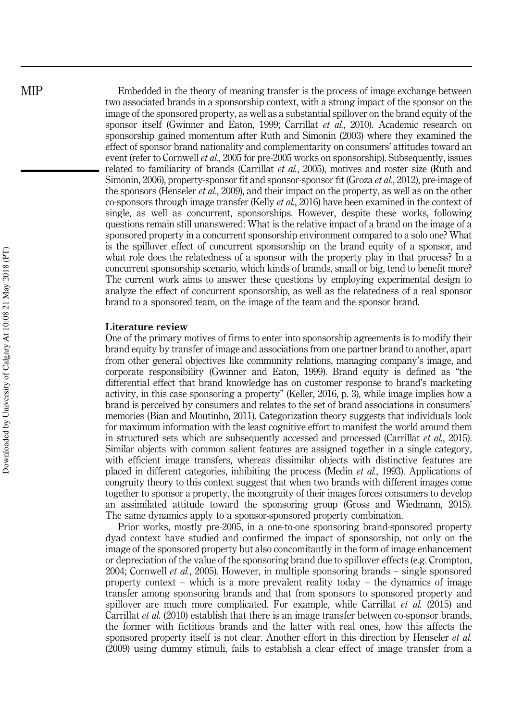**MIP** 

Embedded in the theory of meaning transfer is the process of image exchange between two associated brands in a sponsorship context, with a strong impact of the sponsor on the image of the sponsored property, as well as a substantial spillover on the brand equity of the sponsor itself (Gwinner and Eaton, 1999; Carrillat *et al.*, 2010). Academic research on sponsorship gained momentum after Ruth and Simonin (2003) where they examined the effect of sponsor brand nationality and complementarity on consumers' attitudes toward an event (refer to Cornwell *et al.*, 2005 for pre-2005 works on sponsorship). Subsequently, issues related to familiarity of brands (Carrillat *et al.*, 2005), motives and roster size (Ruth and Simonin, 2006), property-sponsor fit and sponsor-sponsor fit (Groza *et al.*, 2012), pre-image of the sponsors (Henseler *et al.*, 2009), and their impact on the property, as well as on the other co-sponsors through image transfer (Kelly *et al.*, 2016) have been examined in the context of single, as well as concurrent, sponsorships. However, despite these works, following questions remain still unanswered: What is the relative impact of a brand on the image of a sponsored property in a concurrent sponsorship environment compared to a solo one? What is the spillover effect of concurrent sponsorship on the brand equity of a sponsor, and what role does the relatedness of a sponsor with the property play in that process? In a concurrent sponsorship scenario, which kinds of brands, small or big, tend to benefit more? The current work aims to answer these questions by employing experimental design to analyze the effect of concurrent sponsorship, as well as the relatedness of a real sponsor brand to a sponsored team, on the image of the team and the sponsor brand.

#### Literature review

One of the primary motives of firms to enter into sponsorship agreements is to modify their brand equity by transfer of image and associations from one partner brand to another, apart from other general objectives like community relations, managing company's image, and corporate responsibility (Gwinner and Eaton, 1999). Brand equity is defined as "the differential effect that brand knowledge has on customer response to brand's marketing activity, in this case sponsoring a property" (Keller, 2016, p. 3), while image implies how a brand is perceived by consumers and relates to the set of brand associations in consumers' memories (Bian and Moutinho, 2011). Categorization theory suggests that individuals look for maximum information with the least cognitive effort to manifest the world around them in structured sets which are subsequently accessed and processed (Carrillat *et al.*, 2015). Similar objects with common salient features are assigned together in a single category, with efficient image transfers, whereas dissimilar objects with distinctive features are placed in different categories, inhibiting the process (Medin *et al.*, 1993). Applications of congruity theory to this context suggest that when two brands with different images come together to sponsor a property, the incongruity of their images forces consumers to develop an assimilated attitude toward the sponsoring group (Gross and Wiedmann, 2015). The same dynamics apply to a sponsor-sponsored property combination.

Prior works, mostly pre-2005, in a one-to-one sponsoring brand-sponsored property dyad context have studied and confirmed the impact of sponsorship, not only on the image of the sponsored property but also concomitantly in the form of image enhancement or depreciation of the value of the sponsoring brand due to spillover effects (e.g. Crompton, 2004; Cornwell *et al.*, 2005). However, in multiple sponsoring brands – single sponsored property context – which is a more prevalent reality today – the dynamics of image transfer among sponsoring brands and that from sponsors to sponsored property and spillover are much more complicated. For example, while Carrillat *et al.* (2015) and Carrillat *et al.* (2010) establish that there is an image transfer between co-sponsor brands, the former with fictitious brands and the latter with real ones, how this affects the sponsored property itself is not clear. Another effort in this direction by Henseler *et al.* (2009) using dummy stimuli, fails to establish a clear effect of image transfer from a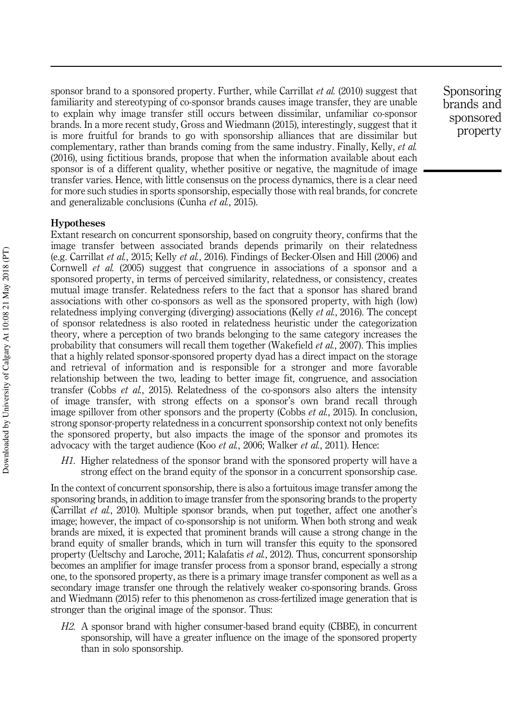sponsor brand to a sponsored property. Further, while Carrillat *et al.* (2010) suggest that familiarity and stereotyping of co-sponsor brands causes image transfer, they are unable to explain why image transfer still occurs between dissimilar, unfamiliar co-sponsor brands. In a more recent study, Gross and Wiedmann (2015), interestingly, suggest that it is more fruitful for brands to go with sponsorship alliances that are dissimilar but complementary, rather than brands coming from the same industry. Finally, Kelly, *et al.* (2016), using fictitious brands, propose that when the information available about each sponsor is of a different quality, whether positive or negative, the magnitude of image transfer varies. Hence, with little consensus on the process dynamics, there is a clear need for more such studies in sports sponsorship, especially those with real brands, for concrete and generalizable conclusions (Cunha *et al.*, 2015).

#### Hypotheses

Extant research on concurrent sponsorship, based on congruity theory, confirms that the image transfer between associated brands depends primarily on their relatedness (e.g. Carrillat *et al.*, 2015; Kelly *et al.*, 2016). Findings of Becker-Olsen and Hill (2006) and Cornwell *et al.* (2005) suggest that congruence in associations of a sponsor and a sponsored property, in terms of perceived similarity, relatedness, or consistency, creates mutual image transfer. Relatedness refers to the fact that a sponsor has shared brand associations with other co-sponsors as well as the sponsored property, with high (low) relatedness implying converging (diverging) associations (Kelly *et al.*, 2016). The concept of sponsor relatedness is also rooted in relatedness heuristic under the categorization theory, where a perception of two brands belonging to the same category increases the probability that consumers will recall them together (Wakefield *et al.*, 2007). This implies that a highly related sponsor-sponsored property dyad has a direct impact on the storage and retrieval of information and is responsible for a stronger and more favorable relationship between the two, leading to better image fit, congruence, and association transfer (Cobbs *et al.*, 2015). Relatedness of the co-sponsors also alters the intensity of image transfer, with strong effects on a sponsor's own brand recall through image spillover from other sponsors and the property (Cobbs *et al.*, 2015). In conclusion, strong sponsor-property relatedness in a concurrent sponsorship context not only benefits the sponsored property, but also impacts the image of the sponsor and promotes its advocacy with the target audience (Koo *et al.*, 2006; Walker *et al.*, 2011). Hence:

*H1.* Higher relatedness of the sponsor brand with the sponsored property will have a strong effect on the brand equity of the sponsor in a concurrent sponsorship case.

In the context of concurrent sponsorship, there is also a fortuitous image transfer among the sponsoring brands, in addition to image transfer from the sponsoring brands to the property (Carrillat *et al.*, 2010). Multiple sponsor brands, when put together, affect one another's image; however, the impact of co-sponsorship is not uniform. When both strong and weak brands are mixed, it is expected that prominent brands will cause a strong change in the brand equity of smaller brands, which in turn will transfer this equity to the sponsored property (Ueltschy and Laroche, 2011; Kalafatis *et al.*, 2012). Thus, concurrent sponsorship becomes an amplifier for image transfer process from a sponsor brand, especially a strong one, to the sponsored property, as there is a primary image transfer component as well as a secondary image transfer one through the relatively weaker co-sponsoring brands. Gross and Wiedmann (2015) refer to this phenomenon as cross-fertilized image generation that is stronger than the original image of the sponsor. Thus:

*H2.* A sponsor brand with higher consumer-based brand equity (CBBE), in concurrent sponsorship, will have a greater influence on the image of the sponsored property than in solo sponsorship.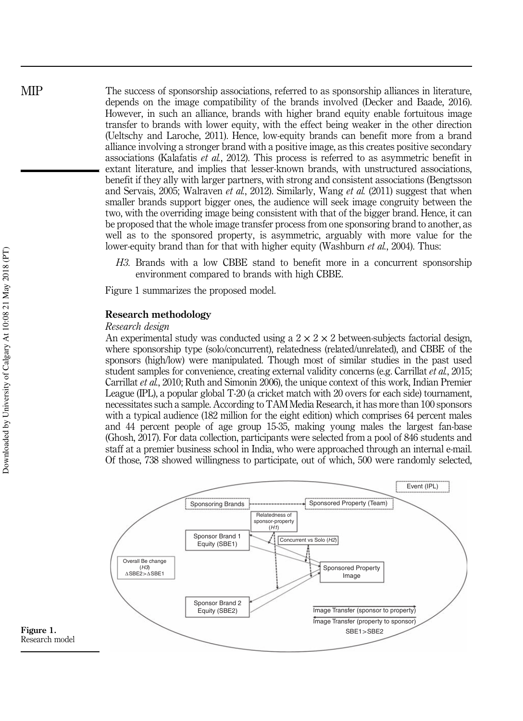The success of sponsorship associations, referred to as sponsorship alliances in literature, depends on the image compatibility of the brands involved (Decker and Baade, 2016). However, in such an alliance, brands with higher brand equity enable fortuitous image transfer to brands with lower equity, with the effect being weaker in the other direction (Ueltschy and Laroche, 2011). Hence, low-equity brands can benefit more from a brand alliance involving a stronger brand with a positive image, as this creates positive secondary associations (Kalafatis *et al.*, 2012). This process is referred to as asymmetric benefit in extant literature, and implies that lesser-known brands, with unstructured associations, benefit if they ally with larger partners, with strong and consistent associations (Bengtsson and Servais, 2005; Walraven *et al.*, 2012). Similarly, Wang *et al.* (2011) suggest that when smaller brands support bigger ones, the audience will seek image congruity between the two, with the overriding image being consistent with that of the bigger brand. Hence, it can be proposed that the whole image transfer process from one sponsoring brand to another, as well as to the sponsored property, is asymmetric, arguably with more value for the lower-equity brand than for that with higher equity (Washburn *et al.*, 2004). Thus:

*H3.* Brands with a low CBBE stand to benefit more in a concurrent sponsorship environment compared to brands with high CBBE.

Figure 1 summarizes the proposed model.

#### Research methodology

#### *Research design*

An experimental study was conducted using a  $2 \times 2 \times 2$  between-subjects factorial design, where sponsorship type (solo/concurrent), relatedness (related/unrelated), and CBBE of the sponsors (high/low) were manipulated. Though most of similar studies in the past used student samples for convenience, creating external validity concerns (e.g. Carrillat *et al.*, 2015; Carrillat *et al.*, 2010; Ruth and Simonin 2006), the unique context of this work, Indian Premier League (IPL), a popular global T-20 (a cricket match with 20 overs for each side) tournament, necessitates such a sample. According to TAM Media Research, it has more than 100 sponsors with a typical audience (182 million for the eight edition) which comprises 64 percent males and 44 percent people of age group 15-35, making young males the largest fan-base (Ghosh, 2017). For data collection, participants were selected from a pool of 846 students and staff at a premier business school in India, who were approached through an internal e-mail. Of those, 738 showed willingness to participate, out of which, 500 were randomly selected,





**MIP**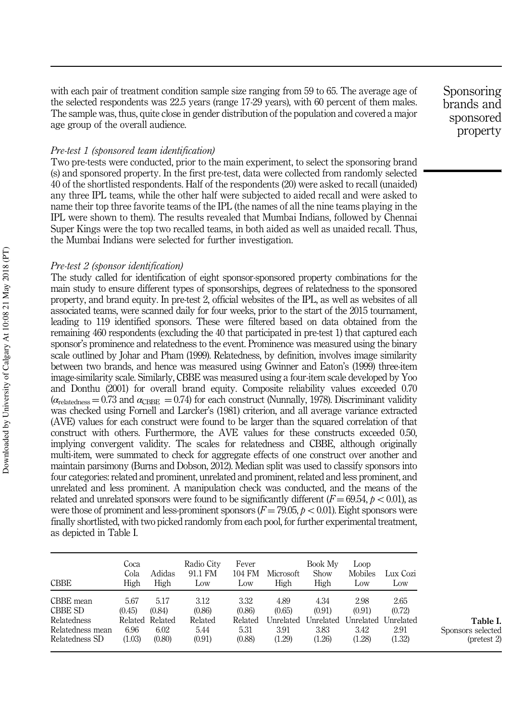with each pair of treatment condition sample size ranging from 59 to 65. The average age of the selected respondents was 22.5 years (range 17-29 years), with 60 percent of them males. The sample was, thus, quite close in gender distribution of the population and covered a major age group of the overall audience.

*Pre-test 1 (sponsored team identification)*

Two pre-tests were conducted, prior to the main experiment, to select the sponsoring brand (s) and sponsored property. In the first pre-test, data were collected from randomly selected 40 of the shortlisted respondents. Half of the respondents (20) were asked to recall (unaided) any three IPL teams, while the other half were subjected to aided recall and were asked to name their top three favorite teams of the IPL (the names of all the nine teams playing in the IPL were shown to them). The results revealed that Mumbai Indians, followed by Chennai Super Kings were the top two recalled teams, in both aided as well as unaided recall. Thus, the Mumbai Indians were selected for further investigation.

#### *Pre-test 2 (sponsor identification)*

The study called for identification of eight sponsor-sponsored property combinations for the main study to ensure different types of sponsorships, degrees of relatedness to the sponsored property, and brand equity. In pre-test 2, official websites of the IPL, as well as websites of all associated teams, were scanned daily for four weeks, prior to the start of the 2015 tournament, leading to 119 identified sponsors. These were filtered based on data obtained from the remaining 460 respondents (excluding the 40 that participated in pre-test 1) that captured each sponsor's prominence and relatedness to the event. Prominence was measured using the binary scale outlined by Johar and Pham (1999). Relatedness, by definition, involves image similarity between two brands, and hence was measured using Gwinner and Eaton's (1999) three-item image-similarity scale. Similarly, CBBE was measured using a four-item scale developed by Yoo and Donthu (2001) for overall brand equity. Composite reliability values exceeded 0.70  $(\alpha_{\text{relatedness}} = 0.73 \text{ and } \alpha_{\text{CBBE}} = 0.74)$  for each construct (Nunnally, 1978). Discriminant validity was checked using Fornell and Larcker's (1981) criterion, and all average variance extracted (AVE) values for each construct were found to be larger than the squared correlation of that construct with others. Furthermore, the AVE values for these constructs exceeded 0.50, implying convergent validity. The scales for relatedness and CBBE, although originally multi-item, were summated to check for aggregate effects of one construct over another and maintain parsimony (Burns and Dobson, 2012). Median split was used to classify sponsors into four categories: related and prominent, unrelated and prominent, related and less prominent, and unrelated and less prominent. A manipulation check was conducted, and the means of the related and unrelated sponsors were found to be significantly different  $(F = 69.54, p < 0.01)$ , as were those of prominent and less-prominent sponsors  $(F = 79.05, p < 0.01)$ . Eight sponsors were finally shortlisted, with two picked randomly from each pool, for further experimental treatment, as depicted in Table I.

| <b>CBBE</b>      | Coca<br>Cola<br>High | Adidas<br>High | Radio City<br>91.1 FM<br>Low | Fever<br>104 FM<br>Low | Microsoft<br>High | Book My<br>Show<br>High | Loop<br><b>Mobiles</b><br>Low | Lux Cozi<br>Low |                   |
|------------------|----------------------|----------------|------------------------------|------------------------|-------------------|-------------------------|-------------------------------|-----------------|-------------------|
| CBBE mean        | 5.67                 | 5.17           | 3.12                         | 3.32                   | 4.89              | 4.34                    | 2.98                          | 2.65            |                   |
| CBBE SD          | (0.45)               | (0.84)         | (0.86)                       | (0.86)                 | (0.65)            | (0.91)                  | (0.91)                        | (0.72)          |                   |
| Relatedness      | Related              | Related        | Related                      | Related                | Unrelated         | Unrelated               | Unrelated                     | Unrelated       | Table I.          |
| Relatedness mean | 6.96                 | 6.02           | 5.44                         | 5.31                   | 3.91              | 3.83                    | 3.42                          | 2.91            | Sponsors selected |
| Relatedness SD   | (1.03)               | (0.80)         | (0.91)                       | (0.88)                 | (1.29)            | (1.26)                  | (1.28)                        | (1.32)          | (pretest 2)       |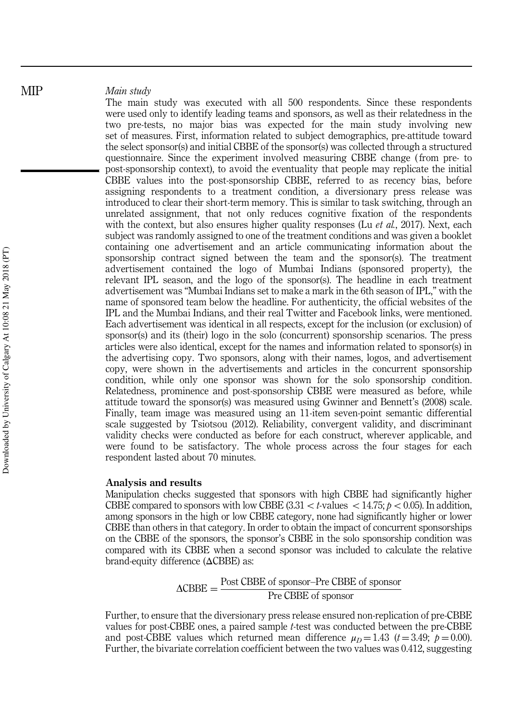#### *Main study*

The main study was executed with all 500 respondents. Since these respondents were used only to identify leading teams and sponsors, as well as their relatedness in the two pre-tests, no major bias was expected for the main study involving new set of measures. First, information related to subject demographics, pre-attitude toward the select sponsor(s) and initial CBBE of the sponsor(s) was collected through a structured questionnaire. Since the experiment involved measuring CBBE change ( from pre- to post-sponsorship context), to avoid the eventuality that people may replicate the initial CBBE values into the post-sponsorship CBBE, referred to as recency bias, before assigning respondents to a treatment condition, a diversionary press release was introduced to clear their short-term memory. This is similar to task switching, through an unrelated assignment, that not only reduces cognitive fixation of the respondents with the context, but also ensures higher quality responses (Lu *et al.*, 2017). Next, each subject was randomly assigned to one of the treatment conditions and was given a booklet containing one advertisement and an article communicating information about the sponsorship contract signed between the team and the sponsor(s). The treatment advertisement contained the logo of Mumbai Indians (sponsored property), the relevant IPL season, and the logo of the sponsor(s). The headline in each treatment advertisement was "Mumbai Indians set to make a mark in the 6th season of IPL," with the name of sponsored team below the headline. For authenticity, the official websites of the IPL and the Mumbai Indians, and their real Twitter and Facebook links, were mentioned. Each advertisement was identical in all respects, except for the inclusion (or exclusion) of sponsor(s) and its (their) logo in the solo (concurrent) sponsorship scenarios. The press articles were also identical, except for the names and information related to sponsor(s) in the advertising copy. Two sponsors, along with their names, logos, and advertisement copy, were shown in the advertisements and articles in the concurrent sponsorship condition, while only one sponsor was shown for the solo sponsorship condition. Relatedness, prominence and post-sponsorship CBBE were measured as before, while attitude toward the sponsor(s) was measured using Gwinner and Bennett's (2008) scale. Finally, team image was measured using an 11-item seven-point semantic differential scale suggested by Tsiotsou (2012). Reliability, convergent validity, and discriminant validity checks were conducted as before for each construct, wherever applicable, and were found to be satisfactory. The whole process across the four stages for each respondent lasted about 70 minutes.

#### Analysis and results

Manipulation checks suggested that sponsors with high CBBE had significantly higher CBBE compared to sponsors with low CBBE  $(3.31 < t$ -values  $< 14.75; p < 0.05$ ). In addition, among sponsors in the high or low CBBE category, none had significantly higher or lower CBBE than others in that category. In order to obtain the impact of concurrent sponsorships on the CBBE of the sponsors, the sponsor's CBBE in the solo sponsorship condition was compared with its CBBE when a second sponsor was included to calculate the relative brand-equity difference (ΔCBBE) as:

$$
\Delta CBBE = \frac{\text{Post CBBE of sponsor} - \text{Pre CBBE of sponsor}}{\text{Pre CBBE of sponsor}}
$$

Further, to ensure that the diversionary press release ensured non-replication of pre-CBBE values for post-CBBE ones, a paired sample *t*-test was conducted between the pre-CBBE and post-CBBE values which returned mean difference  $\mu_D = 1.43$  ( $t = 3.49$ ;  $p = 0.00$ ). Further, the bivariate correlation coefficient between the two values was 0.412, suggesting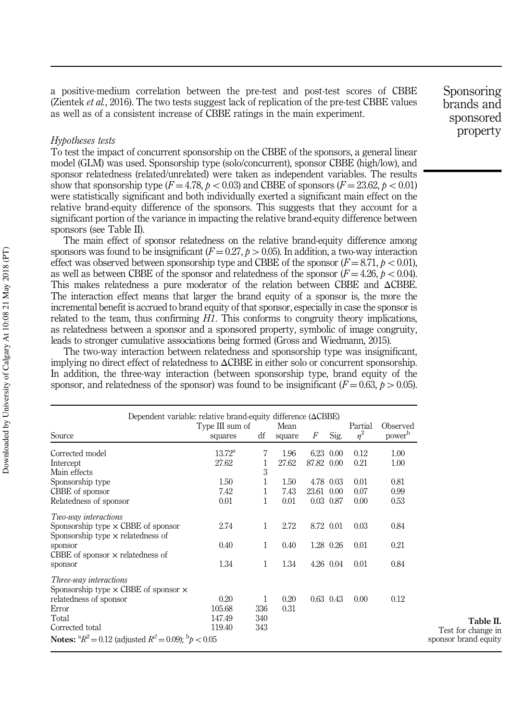a positive-medium correlation between the pre-test and post-test scores of CBBE (Zientek *et al.*, 2016). The two tests suggest lack of replication of the pre-test CBBE values as well as of a consistent increase of CBBE ratings in the main experiment.

#### *Hypotheses tests*

To test the impact of concurrent sponsorship on the CBBE of the sponsors, a general linear model (GLM) was used. Sponsorship type (solo/concurrent), sponsor CBBE (high/low), and sponsor relatedness (related/unrelated) were taken as independent variables. The results show that sponsorship type  $(F = 4.78, p < 0.03)$  and CBBE of sponsors  $(F = 23.62, p < 0.01)$ were statistically significant and both individually exerted a significant main effect on the relative brand-equity difference of the sponsors. This suggests that they account for a significant portion of the variance in impacting the relative brand-equity difference between sponsors (see Table II).

The main effect of sponsor relatedness on the relative brand-equity difference among sponsors was found to be insignificant  $(F = 0.27, p > 0.05)$ . In addition, a two-way interaction effect was observed between sponsorship type and CBBE of the sponsor  $(F = 8.71, p < 0.01)$ , as well as between CBBE of the sponsor and relatedness of the sponsor  $(F = 4.26, p < 0.04)$ . This makes relatedness a pure moderator of the relation between CBBE and ΔCBBE. The interaction effect means that larger the brand equity of a sponsor is, the more the incremental benefit is accrued to brand equity of that sponsor, especially in case the sponsor is related to the team, thus confirming *H1*. This conforms to congruity theory implications, as relatedness between a sponsor and a sponsored property, symbolic of image congruity, leads to stronger cumulative associations being formed (Gross and Wiedmann, 2015).

The two-way interaction between relatedness and sponsorship type was insignificant, implying no direct effect of relatedness to ΔCBBE in either solo or concurrent sponsorship. In addition, the three-way interaction (between sponsorship type, brand equity of the sponsor, and relatedness of the sponsor) was found to be insignificant  $(F = 0.63, p > 0.05)$ .

| Dependent variable: relative brand-equity difference $(\Delta CBBE)$                      |                 |     |        |            |           |          |                    |
|-------------------------------------------------------------------------------------------|-----------------|-----|--------|------------|-----------|----------|--------------------|
|                                                                                           | Type III sum of |     | Mean   |            |           | Partial  | Observed           |
| Source                                                                                    | squares         | df  | square | F          | Sig.      | $\eta^2$ | power <sup>b</sup> |
| Corrected model                                                                           | $13.72^{\rm a}$ | 7   | 1.96   |            | 6.23 0.00 | 0.12     | 1.00               |
| Intercept                                                                                 | 27.62           | 1   | 27.62  | 87.82 0.00 |           | 0.21     | 1.00               |
| Main effects                                                                              |                 | 3   |        |            |           |          |                    |
| Sponsorship type                                                                          | 1.50            | 1   | 1.50   |            | 4.78 0.03 | 0.01     | 0.81               |
| CBBE of sponsor                                                                           | 7.42            | 1   | 7.43   | 23.61 0.00 |           | 0.07     | 0.99               |
| Relatedness of sponsor                                                                    | 0.01            | 1   | 0.01   | 0.03 0.87  |           | 0.00     | 0.53               |
| Two-way interactions                                                                      |                 |     |        |            |           |          |                    |
| Sponsorship type $\times$ CBBE of sponsor                                                 | 2.74            | 1   | 2.72   | 8.72 0.01  |           | 0.03     | 0.84               |
| Sponsorship type $\times$ relatedness of                                                  |                 |     |        |            |           |          |                    |
| sponsor                                                                                   | 0.40            | 1   | 0.40   |            | 1.28 0.26 | 0.01     | 0.21               |
| CBBE of sponsor $\times$ relatedness of                                                   |                 |     |        |            |           |          |                    |
| sponsor                                                                                   | 1.34            | 1   | 1.34   |            | 4.26 0.04 | 0.01     | 0.84               |
| <i>Three-way interactions</i>                                                             |                 |     |        |            |           |          |                    |
| Sponsorship type $\times$ CBBE of sponsor $\times$                                        |                 |     |        |            |           |          |                    |
| relatedness of sponsor                                                                    | 0.20            | 1   | 0.20   | 0.63 0.43  |           | 0.00     | 0.12               |
| Error                                                                                     | 105.68          | 336 | 0.31   |            |           |          |                    |
| Total                                                                                     | 147.49          | 340 |        |            |           |          |                    |
| Corrected total                                                                           | 119.40          | 343 |        |            |           |          |                    |
| <b>Notes:</b> ${}^{\text{a}}R^2 = 0.12$ (adjusted $R^2 = 0.09$ ); ${}^{\text{b}}p < 0.05$ |                 |     |        |            |           |          |                    |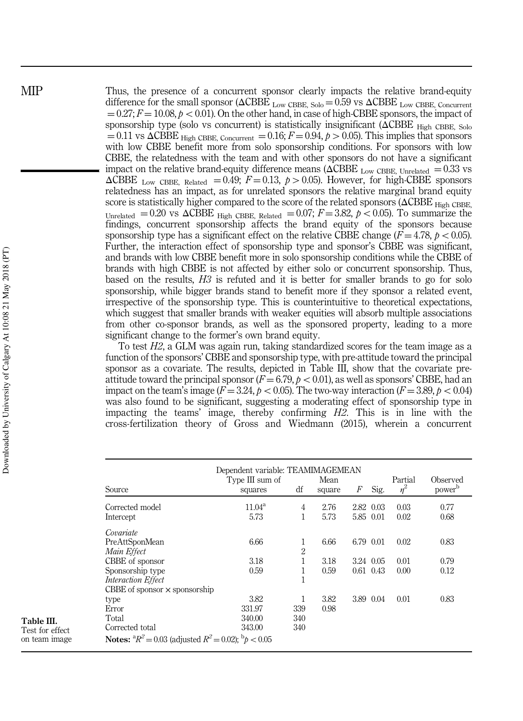Thus, the presence of a concurrent sponsor clearly impacts the relative brand-equity difference for the small sponsor ( $\Delta CBBE_{Low}$  CBBE, Solo = 0.59 vs  $\Delta CBBE_{Low}$  CBBE, Concurrent  $= 0.27; F = 10.08, p < 0.01$ ). On the other hand, in case of high-CBBE sponsors, the impact of sponsorship type (solo vs concurrent) is statistically insignificant (ΔCBBE High CBBE, Solo  $= 0.11$  vs  $\Delta$ CBBE <sub>High CBBE, Concurrent</sub>  $= 0.16; F = 0.94, p > 0.05$ ). This implies that sponsors with low CBBE benefit more from solo sponsorship conditions. For sponsors with low CBBE, the relatedness with the team and with other sponsors do not have a significant impact on the relative brand-equity difference means ( $\Delta CBBE$ <sub>Low CBBE, Unrelated</sub> = 0.33 vs  $\triangle$ CBBE <sub>Low CBBE, Related = 0.49;  $F = 0.13$ ,  $p > 0.05$ ). However, for high-CBBE sponsors</sub> relatedness has an impact, as for unrelated sponsors the relative marginal brand equity score is statistically higher compared to the score of the related sponsors ( $\Delta$ CBBE  $_{\rm High~CBBE}$ Unrelated  $= 0.20$  vs  $\triangle$ CBBE High CBBE, Related  $= 0.07$ ;  $F = 3.82$ ,  $p < 0.05$ ). To summarize the findings, concurrent sponsorship affects the brand equity of the sponsors because sponsorship type has a significant effect on the relative CBBE change ( $F = 4.78$ ,  $p < 0.05$ ). Further, the interaction effect of sponsorship type and sponsor's CBBE was significant, and brands with low CBBE benefit more in solo sponsorship conditions while the CBBE of brands with high CBBE is not affected by either solo or concurrent sponsorship. Thus, based on the results, *H3* is refuted and it is better for smaller brands to go for solo sponsorship, while bigger brands stand to benefit more if they sponsor a related event, irrespective of the sponsorship type. This is counterintuitive to theoretical expectations, which suggest that smaller brands with weaker equities will absorb multiple associations from other co-sponsor brands, as well as the sponsored property, leading to a more significant change to the former's own brand equity.

To test *H2*, a GLM was again run, taking standardized scores for the team image as a function of the sponsors' CBBE and sponsorship type, with pre-attitude toward the principal sponsor as a covariate. The results, depicted in Table III, show that the covariate preattitude toward the principal sponsor  $(F = 6.79, p < 0.01)$ , as well as sponsors' CBBE, had an impact on the team's image  $(F = 3.24, p < 0.05)$ . The two-way interaction  $(F = 3.89, p < 0.04)$ was also found to be significant, suggesting a moderating effect of sponsorship type in impacting the teams' image, thereby confirming *H2*. This is in line with the cross-fertilization theory of Gross and Wiedmann (2015), wherein a concurrent

| Observed<br>power <sup>b</sup> | Partial<br>$\eta^2$ | Sig.      | F         | Mean<br>square | df             | Type III sum of<br>squares | Source                                                                                   |
|--------------------------------|---------------------|-----------|-----------|----------------|----------------|----------------------------|------------------------------------------------------------------------------------------|
| 0.77                           | 0.03                | 0.03      | 2.82      | 2.76           | $\overline{4}$ | 11.04 <sup>a</sup>         | Corrected model                                                                          |
| 0.68                           | 0.02                | 5.85 0.01 |           | 5.73           | 1              | 5.73                       | Intercept                                                                                |
|                                |                     |           |           |                |                |                            | Covariate                                                                                |
| 0.83                           | 0.02                |           | 6.79 0.01 | 6.66           | 1              | 6.66                       | PreAttSponMean                                                                           |
|                                |                     |           |           |                | 2              |                            | Main Effect                                                                              |
| 0.79                           | 0.01                | 3.24 0.05 |           | 3.18           | 1              | 3.18                       | CBBE of sponsor                                                                          |
| 0.12                           | 0.00                | 0.61 0.43 |           | 0.59           | 1              | 0.59                       | Sponsorship type                                                                         |
|                                |                     |           |           |                | 1              |                            | <b>Interaction Effect</b>                                                                |
|                                |                     |           |           |                |                |                            | CBBE of sponsor $\times$ sponsorship                                                     |
| 0.83                           | 0.01                | 3.89 0.04 |           | 3.82           |                | 3.82                       | type                                                                                     |
|                                |                     |           |           | 0.98           | 339            | 331.97                     | Error                                                                                    |
|                                |                     |           |           |                | 340            | 340.00                     | Total                                                                                    |
|                                |                     |           |           |                | 340            | 343.00                     | Corrected total                                                                          |
|                                |                     |           |           |                |                |                            | <b>Notes:</b> ${}^{\text{a}}R^2$ = 0.03 (adjusted $R^2$ = 0.02); ${}^{\text{b}}p$ < 0.05 |

MIP

on team image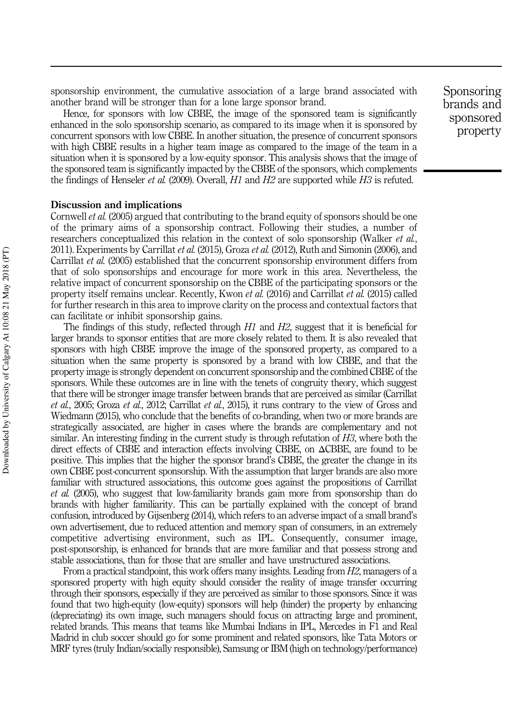sponsorship environment, the cumulative association of a large brand associated with another brand will be stronger than for a lone large sponsor brand.

Hence, for sponsors with low CBBE, the image of the sponsored team is significantly enhanced in the solo sponsorship scenario, as compared to its image when it is sponsored by concurrent sponsors with low CBBE. In another situation, the presence of concurrent sponsors with high CBBE results in a higher team image as compared to the image of the team in a situation when it is sponsored by a low-equity sponsor. This analysis shows that the image of the sponsored team is significantly impacted by the CBBE of the sponsors, which complements the findings of Henseler *et al.* (2009). Overall, *H1* and *H2* are supported while *H3* is refuted.

#### Discussion and implications

Cornwell *et al.* (2005) argued that contributing to the brand equity of sponsors should be one of the primary aims of a sponsorship contract. Following their studies, a number of researchers conceptualized this relation in the context of solo sponsorship (Walker *et al.*, 2011). Experiments by Carrillat *et al.* (2015), Groza *et al.* (2012), Ruth and Simonin (2006), and Carrillat *et al.* (2005) established that the concurrent sponsorship environment differs from that of solo sponsorships and encourage for more work in this area. Nevertheless, the relative impact of concurrent sponsorship on the CBBE of the participating sponsors or the property itself remains unclear. Recently, Kwon *et al.* (2016) and Carrillat *et al.* (2015) called for further research in this area to improve clarity on the process and contextual factors that can facilitate or inhibit sponsorship gains.

The findings of this study, reflected through *H1* and *H2*, suggest that it is beneficial for larger brands to sponsor entities that are more closely related to them. It is also revealed that sponsors with high CBBE improve the image of the sponsored property, as compared to a situation when the same property is sponsored by a brand with low CBBE, and that the property image is strongly dependent on concurrent sponsorship and the combined CBBE of the sponsors. While these outcomes are in line with the tenets of congruity theory, which suggest that there will be stronger image transfer between brands that are perceived as similar (Carrillat *et al.*, 2005; Groza *et al.*, 2012; Carrillat *et al.*, 2015), it runs contrary to the view of Gross and Wiedmann (2015), who conclude that the benefits of co-branding, when two or more brands are strategically associated, are higher in cases where the brands are complementary and not similar. An interesting finding in the current study is through refutation of *H3*, where both the direct effects of CBBE and interaction effects involving CBBE, on ΔCBBE, are found to be positive. This implies that the higher the sponsor brand's CBBE, the greater the change in its own CBBE post-concurrent sponsorship. With the assumption that larger brands are also more familiar with structured associations, this outcome goes against the propositions of Carrillat *et al.* (2005), who suggest that low-familiarity brands gain more from sponsorship than do brands with higher familiarity. This can be partially explained with the concept of brand confusion, introduced by Gijsenberg (2014), which refers to an adverse impact of a small brand's own advertisement, due to reduced attention and memory span of consumers, in an extremely competitive advertising environment, such as IPL. Consequently, consumer image, post-sponsorship, is enhanced for brands that are more familiar and that possess strong and stable associations, than for those that are smaller and have unstructured associations.

From a practical standpoint, this work offers many insights. Leading from *H2*, managers of a sponsored property with high equity should consider the reality of image transfer occurring through their sponsors, especially if they are perceived as similar to those sponsors. Since it was found that two high-equity (low-equity) sponsors will help (hinder) the property by enhancing (depreciating) its own image, such managers should focus on attracting large and prominent, related brands. This means that teams like Mumbai Indians in IPL, Mercedes in F1 and Real Madrid in club soccer should go for some prominent and related sponsors, like Tata Motors or MRF tyres (truly Indian/socially responsible), Samsung or IBM (high on technology/performance)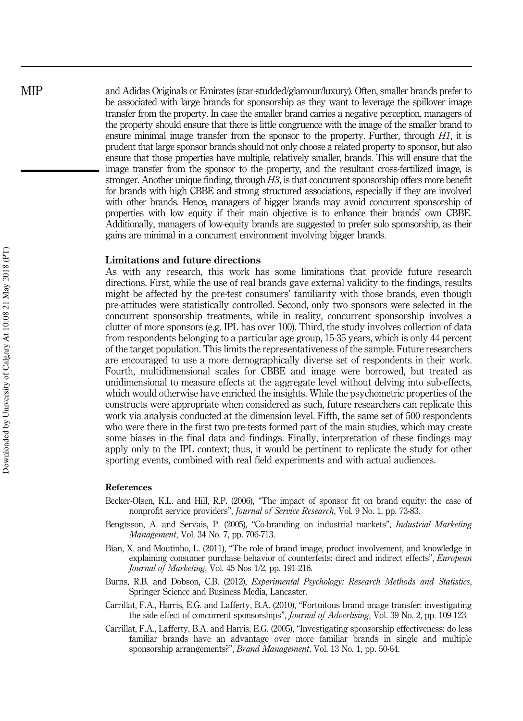and Adidas Originals or Emirates (star-studded/glamour/luxury). Often, smaller brands prefer to be associated with large brands for sponsorship as they want to leverage the spillover image transfer from the property. In case the smaller brand carries a negative perception, managers of the property should ensure that there is little congruence with the image of the smaller brand to ensure minimal image transfer from the sponsor to the property. Further, through *H1*, it is prudent that large sponsor brands should not only choose a related property to sponsor, but also ensure that those properties have multiple, relatively smaller, brands. This will ensure that the image transfer from the sponsor to the property, and the resultant cross-fertilized image, is stronger. Another unique finding, through *H3*, is that concurrent sponsorship offers more benefit for brands with high CBBE and strong structured associations, especially if they are involved with other brands. Hence, managers of bigger brands may avoid concurrent sponsorship of properties with low equity if their main objective is to enhance their brands' own CBBE. Additionally, managers of low-equity brands are suggested to prefer solo sponsorship, as their gains are minimal in a concurrent environment involving bigger brands.

#### Limitations and future directions

As with any research, this work has some limitations that provide future research directions. First, while the use of real brands gave external validity to the findings, results might be affected by the pre-test consumers' familiarity with those brands, even though pre-attitudes were statistically controlled. Second, only two sponsors were selected in the concurrent sponsorship treatments, while in reality, concurrent sponsorship involves a clutter of more sponsors (e.g. IPL has over 100). Third, the study involves collection of data from respondents belonging to a particular age group, 15-35 years, which is only 44 percent of the target population. This limits the representativeness of the sample. Future researchers are encouraged to use a more demographically diverse set of respondents in their work. Fourth, multidimensional scales for CBBE and image were borrowed, but treated as unidimensional to measure effects at the aggregate level without delving into sub-effects, which would otherwise have enriched the insights. While the psychometric properties of the constructs were appropriate when considered as such, future researchers can replicate this work via analysis conducted at the dimension level. Fifth, the same set of 500 respondents who were there in the first two pre-tests formed part of the main studies, which may create some biases in the final data and findings. Finally, interpretation of these findings may apply only to the IPL context; thus, it would be pertinent to replicate the study for other sporting events, combined with real field experiments and with actual audiences.

#### References

- Becker-Olsen, K.L. and Hill, R.P. (2006), "The impact of sponsor fit on brand equity: the case of nonprofit service providers", *Journal of Service Research*, Vol. 9 No. 1, pp. 73-83.
- Bengtsson, A. and Servais, P. (2005), "Co-branding on industrial markets", *Industrial Marketing Management*, Vol. 34 No. 7, pp. 706-713.
- Bian, X. and Moutinho, L. (2011), "The role of brand image, product involvement, and knowledge in explaining consumer purchase behavior of counterfeits: direct and indirect effects", *European Journal of Marketing*, Vol. 45 Nos 1/2, pp. 191-216.
- Burns, R.B. and Dobson, C.B. (2012), *Experimental Psychology: Research Methods and Statistics*, Springer Science and Business Media, Lancaster.
- Carrillat, F.A., Harris, E.G. and Lafferty, B.A. (2010), "Fortuitous brand image transfer: investigating the side effect of concurrent sponsorships", *Journal of Advertising*, Vol. 39 No. 2, pp. 109-123.
- Carrillat, F.A., Lafferty, B.A. and Harris, E.G. (2005), "Investigating sponsorship effectiveness: do less familiar brands have an advantage over more familiar brands in single and multiple sponsorship arrangements?", *Brand Management*, Vol. 13 No. 1, pp. 50-64.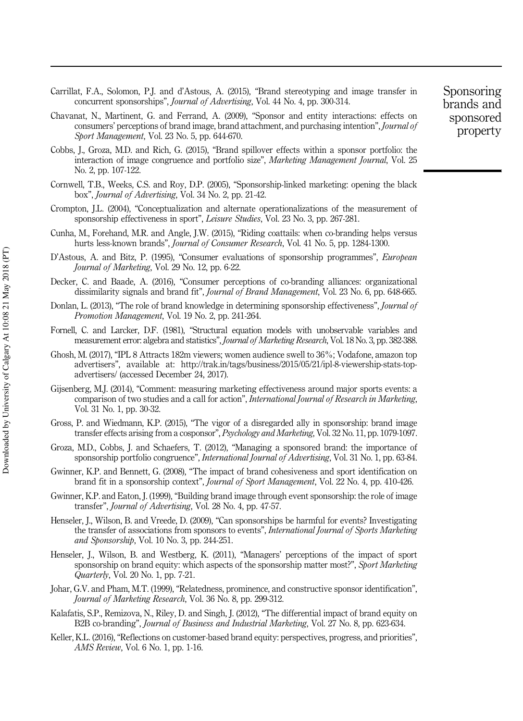- Carrillat, F.A., Solomon, P.J. and d'Astous, A. (2015), "Brand stereotyping and image transfer in concurrent sponsorships", *Journal of Advertising*, Vol. 44 No. 4, pp. 300-314.
- Chavanat, N., Martinent, G. and Ferrand, A. (2009), "Sponsor and entity interactions: effects on consumers' perceptions of brand image, brand attachment, and purchasing intention", *Journal of Sport Management*, Vol. 23 No. 5, pp. 644-670.
- Cobbs, J., Groza, M.D. and Rich, G. (2015), "Brand spillover effects within a sponsor portfolio: the interaction of image congruence and portfolio size", *Marketing Management Journal*, Vol. 25 No. 2, pp. 107-122.
- Cornwell, T.B., Weeks, C.S. and Roy, D.P. (2005), "Sponsorship-linked marketing: opening the black box", *Journal of Advertising*, Vol. 34 No. 2, pp. 21-42.
- Crompton, J.L. (2004), "Conceptualization and alternate operationalizations of the measurement of sponsorship effectiveness in sport", *Leisure Studies*, Vol. 23 No. 3, pp. 267-281.
- Cunha, M., Forehand, M.R. and Angle, J.W. (2015), "Riding coattails: when co-branding helps versus hurts less-known brands", *Journal of Consumer Research*, Vol. 41 No. 5, pp. 1284-1300.
- D'Astous, A. and Bitz, P. (1995), "Consumer evaluations of sponsorship programmes", *European Journal of Marketing*, Vol. 29 No. 12, pp. 6-22.
- Decker, C. and Baade, A. (2016), "Consumer perceptions of co-branding alliances: organizational dissimilarity signals and brand fit", *Journal of Brand Management*, Vol. 23 No. 6, pp. 648-665.
- Donlan, L. (2013), "The role of brand knowledge in determining sponsorship effectiveness", *Journal of Promotion Management*, Vol. 19 No. 2, pp. 241-264.
- Fornell, C. and Larcker, D.F. (1981), "Structural equation models with unobservable variables and measurement error: algebra and statistics", *Journal of Marketing Research*, Vol. 18 No. 3, pp. 382-388.
- Ghosh, M. (2017), "IPL 8 Attracts 182m viewers; women audience swell to 36%; Vodafone, amazon top advertisers", available at: http://trak.in/tags/business/2015/05/21/ipl-8-viewership-stats-topadvertisers/ (accessed December 24, 2017).
- Gijsenberg, M.J. (2014), "Comment: measuring marketing effectiveness around major sports events: a comparison of two studies and a call for action", *International Journal of Research in Marketing*, Vol. 31 No. 1, pp. 30-32.
- Gross, P. and Wiedmann, K.P. (2015), "The vigor of a disregarded ally in sponsorship: brand image transfer effects arising from a cosponsor", *Psychology and Marketing*, Vol. 32 No. 11, pp. 1079-1097.
- Groza, M.D., Cobbs, J. and Schaefers, T. (2012), "Managing a sponsored brand: the importance of sponsorship portfolio congruence", *International Journal of Advertising*, Vol. 31 No. 1, pp. 63-84.
- Gwinner, K.P. and Bennett, G. (2008), "The impact of brand cohesiveness and sport identification on brand fit in a sponsorship context", *Journal of Sport Management*, Vol. 22 No. 4, pp. 410-426.
- Gwinner, K.P. and Eaton, J. (1999), "Building brand image through event sponsorship: the role of image transfer", *Journal of Advertising*, Vol. 28 No. 4, pp. 47-57.
- Henseler, J., Wilson, B. and Vreede, D. (2009), "Can sponsorships be harmful for events? Investigating the transfer of associations from sponsors to events", *International Journal of Sports Marketing and Sponsorship*, Vol. 10 No. 3, pp. 244-251.
- Henseler, J., Wilson, B. and Westberg, K. (2011), "Managers' perceptions of the impact of sport sponsorship on brand equity: which aspects of the sponsorship matter most?", *Sport Marketing Quarterly*, Vol. 20 No. 1, pp. 7-21.
- Johar, G.V. and Pham, M.T. (1999), "Relatedness, prominence, and constructive sponsor identification", *Journal of Marketing Research*, Vol. 36 No. 8, pp. 299-312.
- Kalafatis, S.P., Remizova, N., Riley, D. and Singh, J. (2012), "The differential impact of brand equity on B2B co-branding", *Journal of Business and Industrial Marketing*, Vol. 27 No. 8, pp. 623-634.
- Keller, K.L. (2016), "Reflections on customer-based brand equity: perspectives, progress, and priorities", *AMS Review*, Vol. 6 No. 1, pp. 1-16.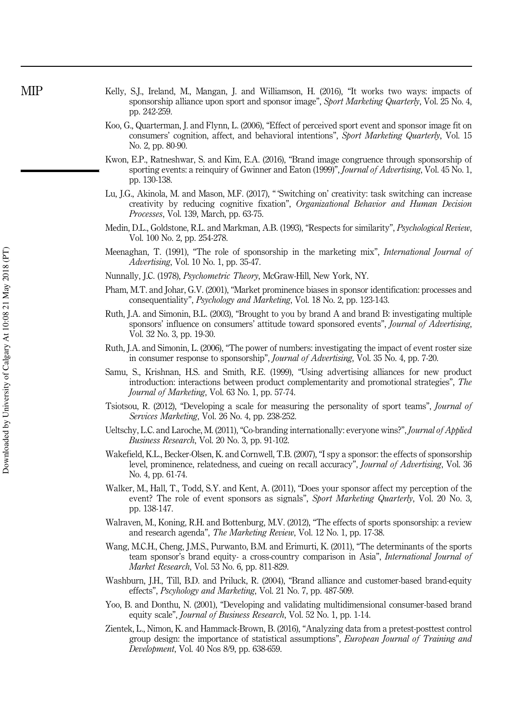- Kelly, S.J., Ireland, M., Mangan, J. and Williamson, H. (2016), "It works two ways: impacts of sponsorship alliance upon sport and sponsor image", *Sport Marketing Quarterly*, Vol. 25 No. 4, pp. 242-259.
- Koo, G., Quarterman, J. and Flynn, L. (2006), "Effect of perceived sport event and sponsor image fit on consumers' cognition, affect, and behavioral intentions", *Sport Marketing Quarterly*, Vol. 15 No. 2, pp. 80-90.
- Kwon, E.P., Ratneshwar, S. and Kim, E.A. (2016), "Brand image congruence through sponsorship of sporting events: a reinquiry of Gwinner and Eaton (1999)", *Journal of Advertising*, Vol. 45 No. 1, pp. 130-138.
- Lu, J.G., Akinola, M. and Mason, M.F. (2017), " 'Switching on' creativity: task switching can increase creativity by reducing cognitive fixation", *Organizational Behavior and Human Decision Processes*, Vol. 139, March, pp. 63-75.
- Medin, D.L., Goldstone, R.L. and Markman, A.B. (1993), "Respects for similarity", *Psychological Review*, Vol. 100 No. 2, pp. 254-278.
- Meenaghan, T. (1991), "The role of sponsorship in the marketing mix", *International Journal of Advertising*, Vol. 10 No. 1, pp. 35-47.
- Nunnally, J.C. (1978), *Psychometric Theory*, McGraw-Hill, New York, NY.
- Pham, M.T. and Johar, G.V. (2001), "Market prominence biases in sponsor identification: processes and consequentiality", *Psychology and Marketing*, Vol. 18 No. 2, pp. 123-143.
- Ruth, J.A. and Simonin, B.L. (2003), "Brought to you by brand A and brand B: investigating multiple sponsors' influence on consumers' attitude toward sponsored events", *Journal of Advertising*, Vol. 32 No. 3, pp. 19-30.
- Ruth, J.A. and Simonin, L. (2006), "The power of numbers: investigating the impact of event roster size in consumer response to sponsorship", *Journal of Advertising*, Vol. 35 No. 4, pp. 7-20.
- Samu, S., Krishnan, H.S. and Smith, R.E. (1999), "Using advertising alliances for new product introduction: interactions between product complementarity and promotional strategies", *The Journal of Marketing*, Vol. 63 No. 1, pp. 57-74.
- Tsiotsou, R. (2012), "Developing a scale for measuring the personality of sport teams", *Journal of Services Marketing*, Vol. 26 No. 4, pp. 238-252.
- Ueltschy, L.C. and Laroche, M. (2011), "Co-branding internationally: everyone wins?", *Journal of Applied Business Research*, Vol. 20 No. 3, pp. 91-102.
- Wakefield, K.L., Becker-Olsen, K. and Cornwell, T.B. (2007), "I spy a sponsor: the effects of sponsorship level, prominence, relatedness, and cueing on recall accuracy", *Journal of Advertising*, Vol. 36 No. 4, pp. 61-74.
- Walker, M., Hall, T., Todd, S.Y. and Kent, A. (2011), "Does your sponsor affect my perception of the event? The role of event sponsors as signals", *Sport Marketing Quarterly*, Vol. 20 No. 3, pp. 138-147.
- Walraven, M., Koning, R.H. and Bottenburg, M.V. (2012), "The effects of sports sponsorship: a review and research agenda", *The Marketing Review*, Vol. 12 No. 1, pp. 17-38.
- Wang, M.C.H., Cheng, J.M.S., Purwanto, B.M. and Erimurti, K. (2011), "The determinants of the sports team sponsor's brand equity- a cross-country comparison in Asia", *International Journal of Market Research*, Vol. 53 No. 6, pp. 811-829.
- Washburn, J.H., Till, B.D. and Priluck, R. (2004), "Brand alliance and customer-based brand-equity effects", *Pscyhology and Marketing*, Vol. 21 No. 7, pp. 487-509.
- Yoo, B. and Donthu, N. (2001), "Developing and validating multidimensional consumer-based brand equity scale", *Journal of Business Research*, Vol. 52 No. 1, pp. 1-14.
- Zientek, L., Nimon, K. and Hammack-Brown, B. (2016), "Analyzing data from a pretest-posttest control group design: the importance of statistical assumptions", *European Journal of Training and Development*, Vol. 40 Nos 8/9, pp. 638-659.